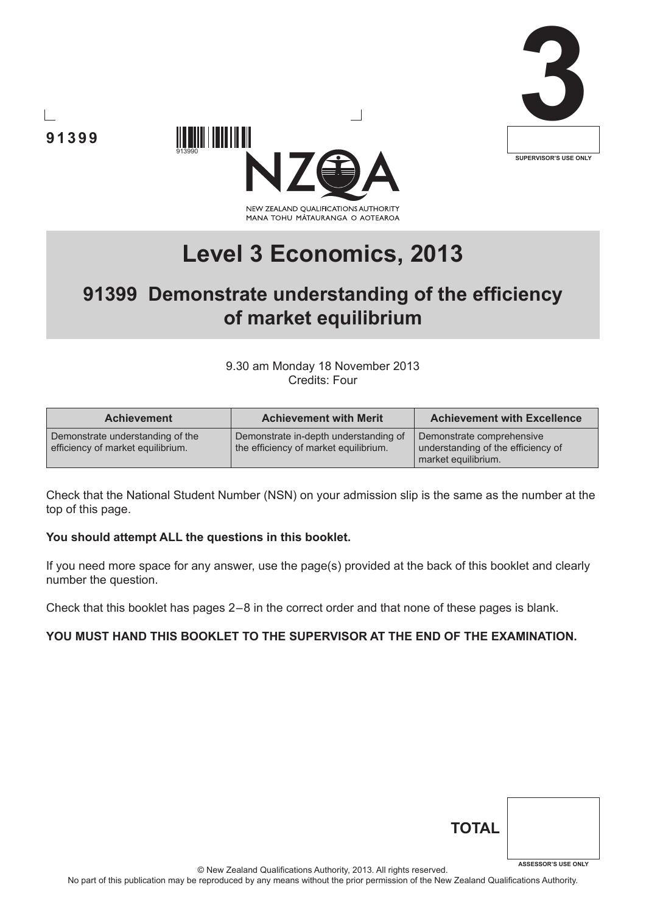





# **Level 3 Economics, 2013**

## **91399 Demonstrate understanding of the efficiency of market equilibrium**

9.30 am Monday 18 November 2013 Credits: Four

| <b>Achievement</b>                                                    | <b>Achievement with Merit</b>                                                  | <b>Achievement with Excellence</b>                                                     |
|-----------------------------------------------------------------------|--------------------------------------------------------------------------------|----------------------------------------------------------------------------------------|
| Demonstrate understanding of the<br>efficiency of market equilibrium. | Demonstrate in-depth understanding of<br>the efficiency of market equilibrium. | Demonstrate comprehensive<br>understanding of the efficiency of<br>market equilibrium. |

Check that the National Student Number (NSN) on your admission slip is the same as the number at the top of this page.

#### **You should attempt ALL the questions in this booklet.**

**91399**

If you need more space for any answer, use the page(s) provided at the back of this booklet and clearly number the question.

Check that this booklet has pages 2 – 8 in the correct order and that none of these pages is blank.

### **YOU MUST HAND THIS BOOKLET TO THE SUPERVISOR AT THE END OF THE EXAMINATION.**

| <b>TOTAL</b> |                            |
|--------------|----------------------------|
|              | <b>ASSESSOR'S USE ONLY</b> |

© New Zealand Qualifications Authority, 2013. All rights reserved.

No part of this publication may be reproduced by any means without the prior permission of the New Zealand Qualifications Authority.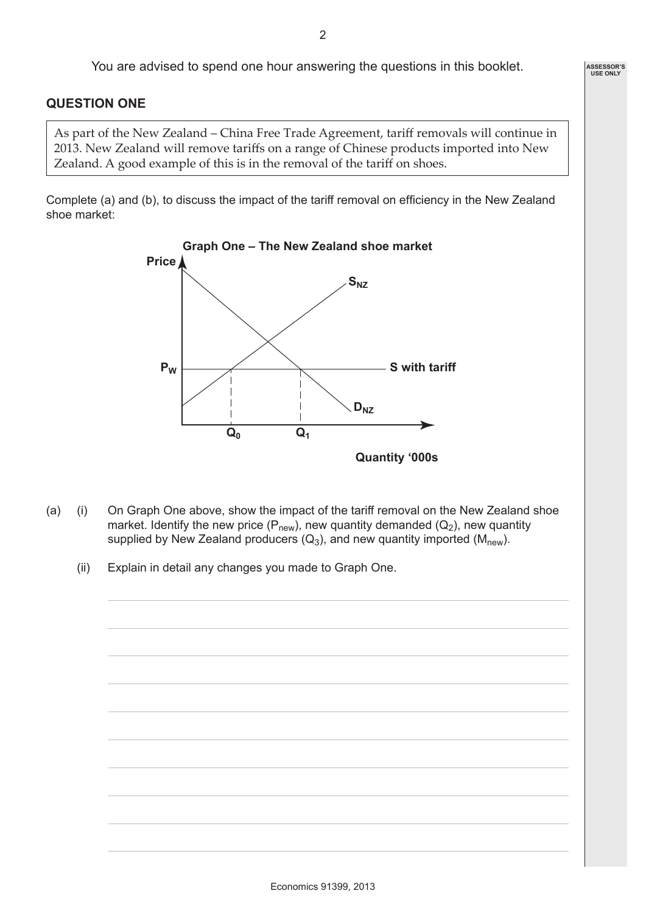**ASSESSOR'S USE ONLY**

You are advised to spend one hour answering the questions in this booklet.

#### **QUESTION ONE**

As part of the New Zealand – China Free Trade Agreement, tariff removals will continue in 2013. New Zealand will remove tariffs on a range of Chinese products imported into New Zealand. A good example of this is in the removal of the tariff on shoes.

Complete (a) and (b), to discuss the impact of the tariff removal on efficiency in the New Zealand shoe market:



- (a) (i) On Graph One above, show the impact of the tariff removal on the New Zealand shoe market. Identify the new price ( $P_{new}$ ), new quantity demanded ( $Q_2$ ), new quantity supplied by New Zealand producers  $(Q_3)$ , and new quantity imported  $(M<sub>new</sub>)$ .
	- (ii) Explain in detail any changes you made to Graph One.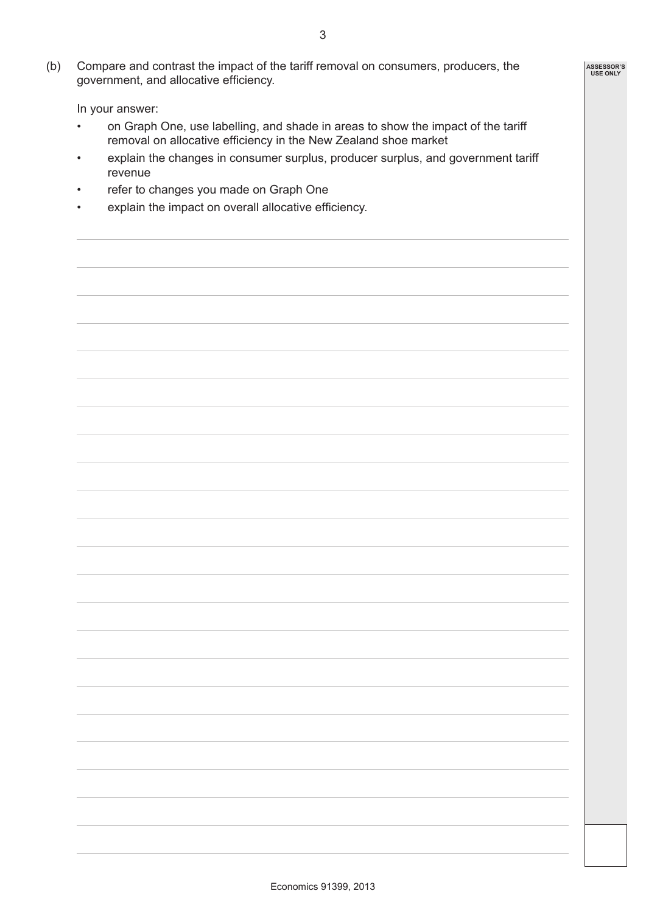(b) Compare and contrast the impact of the tariff removal on consumers, producers, the government, and allocative efficiency.

In your answer:

- on Graph One, use labelling, and shade in areas to show the impact of the tariff removal on allocative efficiency in the New Zealand shoe market
- explain the changes in consumer surplus, producer surplus, and government tariff revenue
- refer to changes you made on Graph One
- explain the impact on overall allocative efficiency.

**ASSESSOR'S USE ONLY**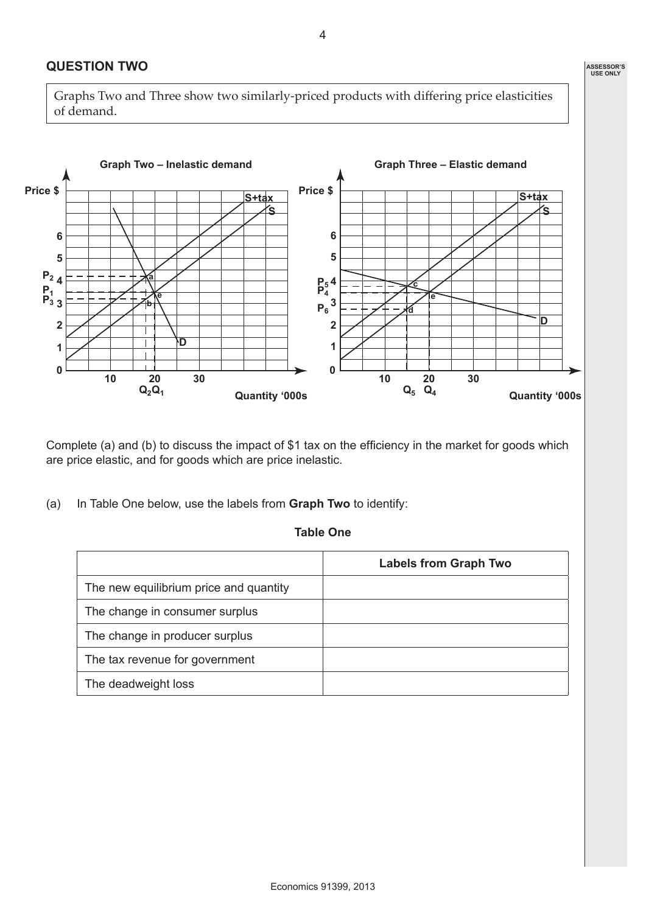### **QUESTION TWO**

Graphs Two and Three show two similarly-priced products with differing price elasticities of demand.



Complete (a) and (b) to discuss the impact of \$1 tax on the efficiency in the market for goods which are price elastic, and for goods which are price inelastic.

(a) In Table One below, use the labels from **Graph Two** to identify:

#### **Table One**

|                                        | <b>Labels from Graph Two</b> |
|----------------------------------------|------------------------------|
| The new equilibrium price and quantity |                              |
| The change in consumer surplus         |                              |
| The change in producer surplus         |                              |
| The tax revenue for government         |                              |
| The deadweight loss                    |                              |

4

**ASSESSOR'S USE ONLY**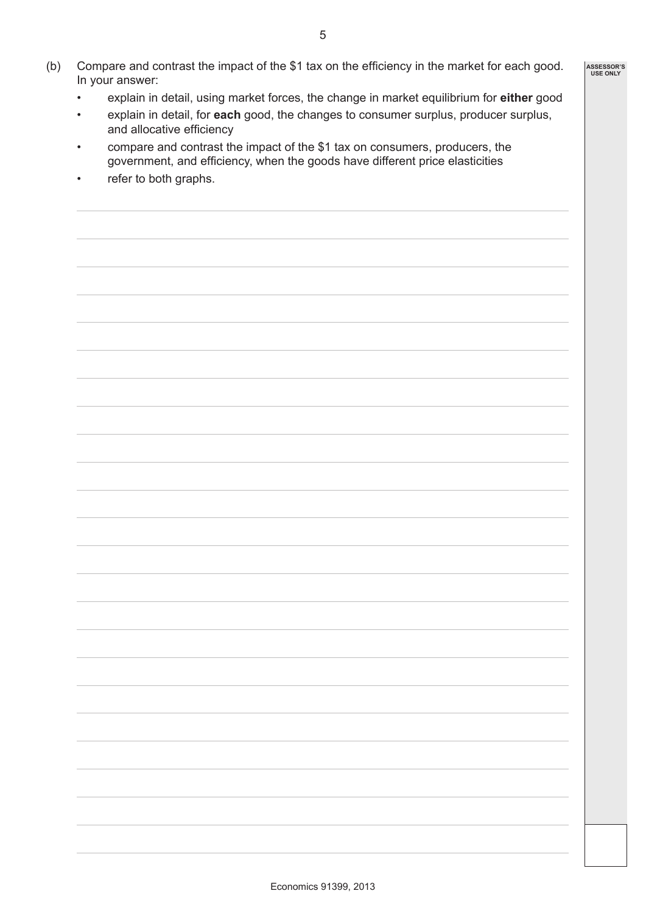- (b) Compare and contrast the impact of the \$1 tax on the efficiency in the market for each good. In your answer:
	- explain in detail, using market forces, the change in market equilibrium for **either** good
	- explain in detail, for **each** good, the changes to consumer surplus, producer surplus, and allocative efficiency
	- compare and contrast the impact of the \$1 tax on consumers, producers, the government, and efficiency, when the goods have different price elasticities
	- refer to both graphs.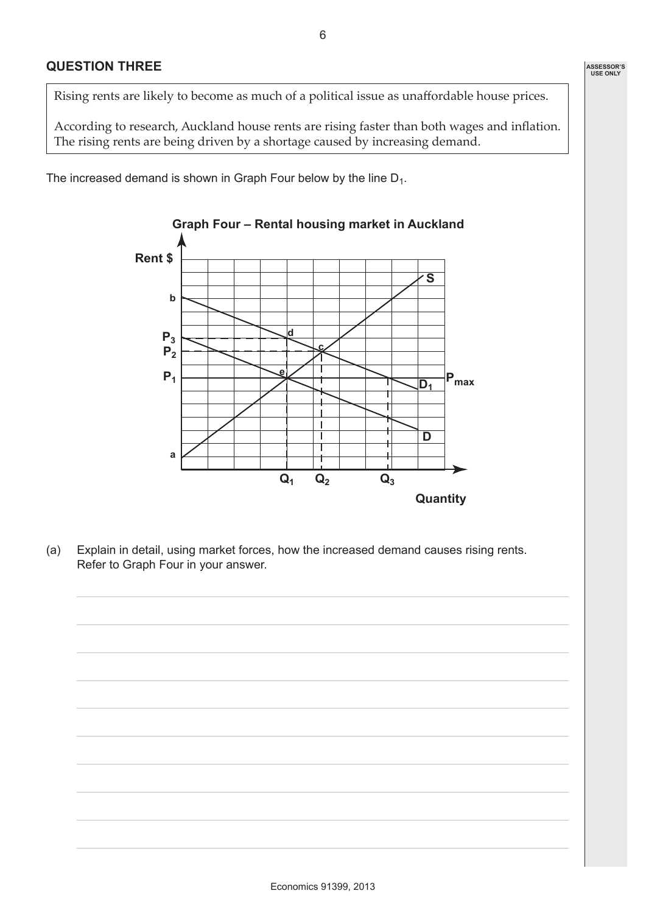Rising rents are likely to become as much of a political issue as unaffordable house prices.

According to research, Auckland house rents are rising faster than both wages and inflation. The rising rents are being driven by a shortage caused by increasing demand.

The increased demand is shown in Graph Four below by the line  $D_1$ .



(a) Explain in detail, using market forces, how the increased demand causes rising rents. Refer to Graph Four in your answer.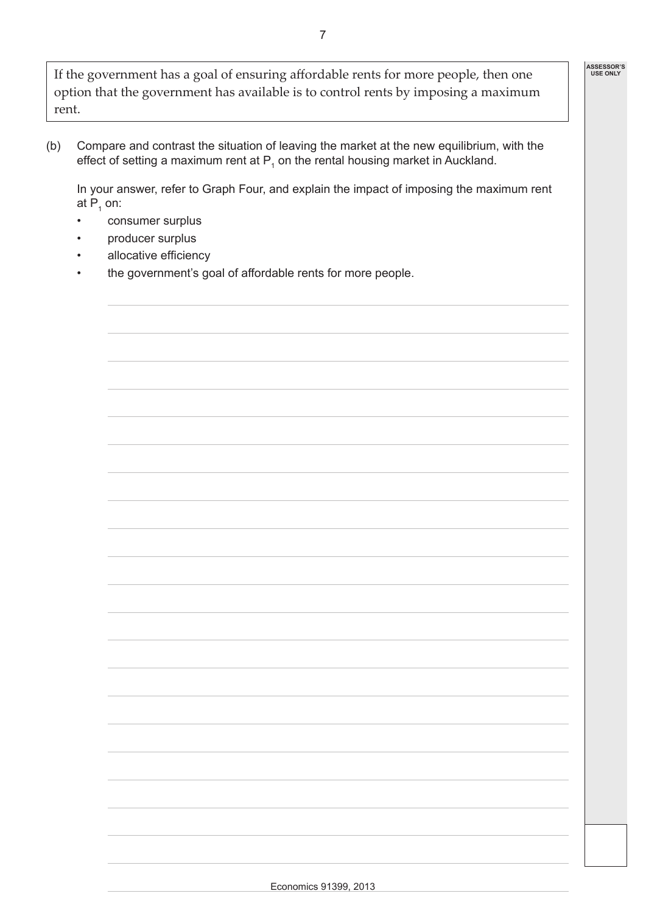If the government has a goal of ensuring affordable rents for more people, then one option that the government has available is to control rents by imposing a maximum rent.

(b) Compare and contrast the situation of leaving the market at the new equilibrium, with the effect of setting a maximum rent at  $P_1$  on the rental housing market in Auckland.

In your answer, refer to Graph Four, and explain the impact of imposing the maximum rent at P $_{\textrm{\tiny{1}}}$  on:

- consumer surplus
- producer surplus
- allocative efficiency
- the government's goal of affordable rents for more people.

**ASSESSOR'S USE ONLY**